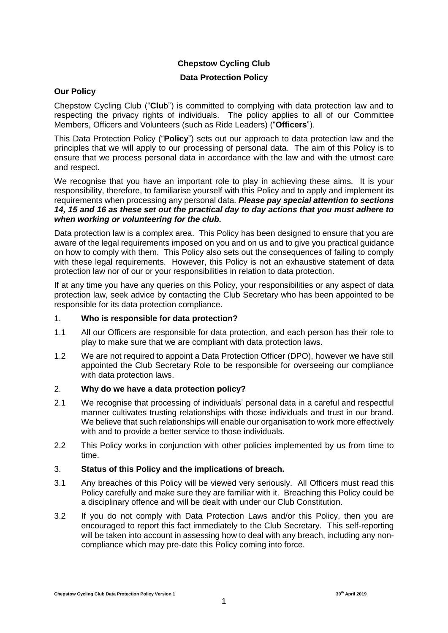## **Chepstow Cycling Club**

### **Data Protection Policy**

#### **Our Policy**

Chepstow Cycling Club ("**Clu**b") is committed to complying with data protection law and to respecting the privacy rights of individuals. The policy applies to all of our Committee Members, Officers and Volunteers (such as Ride Leaders) ("**Officers**").

This Data Protection Policy ("**Policy**") sets out our approach to data protection law and the principles that we will apply to our processing of personal data. The aim of this Policy is to ensure that we process personal data in accordance with the law and with the utmost care and respect.

We recognise that you have an important role to play in achieving these aims. It is your responsibility, therefore, to familiarise yourself with this Policy and to apply and implement its requirements when processing any personal data. *Please pay special attention to sections [14,](#page-7-0) [15](#page-7-1) and [16](#page-9-0) as these set out the practical day to day actions that you must adhere to when working or volunteering for the club.* 

Data protection law is a complex area. This Policy has been designed to ensure that you are aware of the legal requirements imposed on you and on us and to give you practical guidance on how to comply with them. This Policy also sets out the consequences of failing to comply with these legal requirements. However, this Policy is not an exhaustive statement of data protection law nor of our or your responsibilities in relation to data protection.

If at any time you have any queries on this Policy, your responsibilities or any aspect of data protection law, seek advice by contacting the Club Secretary who has been appointed to be responsible for its data protection compliance.

#### 1. **Who is responsible for data protection?**

- 1.1 All our Officers are responsible for data protection, and each person has their role to play to make sure that we are compliant with data protection laws.
- 1.2 We are not required to appoint a Data Protection Officer (DPO), however we have still appointed the Club Secretary Role to be responsible for overseeing our compliance with data protection laws.

#### 2. **Why do we have a data protection policy?**

- 2.1 We recognise that processing of individuals' personal data in a careful and respectful manner cultivates trusting relationships with those individuals and trust in our brand. We believe that such relationships will enable our organisation to work more effectively with and to provide a better service to those individuals.
- 2.2 This Policy works in conjunction with other policies implemented by us from time to time.

### 3. **Status of this Policy and the implications of breach.**

- 3.1 Any breaches of this Policy will be viewed very seriously. All Officers must read this Policy carefully and make sure they are familiar with it. Breaching this Policy could be a disciplinary offence and will be dealt with under our Club Constitution.
- 3.2 If you do not comply with Data Protection Laws and/or this Policy, then you are encouraged to report this fact immediately to the Club Secretary. This self-reporting will be taken into account in assessing how to deal with any breach, including any noncompliance which may pre-date this Policy coming into force.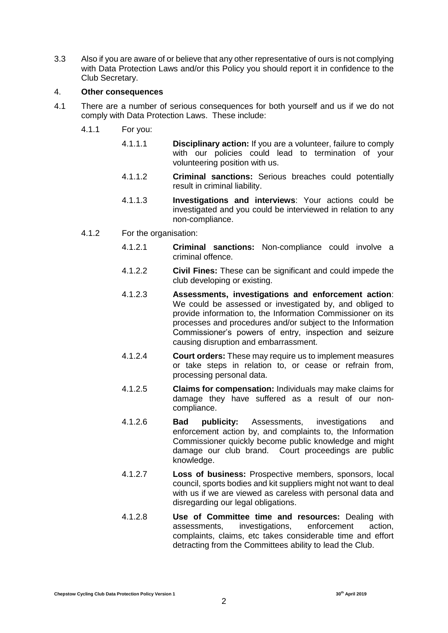3.3 Also if you are aware of or believe that any other representative of ours is not complying with Data Protection Laws and/or this Policy you should report it in confidence to the Club Secretary.

#### 4. **Other consequences**

- 4.1 There are a number of serious consequences for both yourself and us if we do not comply with Data Protection Laws. These include:
	- 4.1.1 For you:
		- 4.1.1.1 **Disciplinary action:** If you are a volunteer, failure to comply with our policies could lead to termination of your volunteering position with us.
		- 4.1.1.2 **Criminal sanctions:** Serious breaches could potentially result in criminal liability.
		- 4.1.1.3 **Investigations and interviews**: Your actions could be investigated and you could be interviewed in relation to any non-compliance.
	- 4.1.2 For the organisation:
		- 4.1.2.1 **Criminal sanctions:** Non-compliance could involve a criminal offence.
		- 4.1.2.2 **Civil Fines:** These can be significant and could impede the club developing or existing.
		- 4.1.2.3 **Assessments, investigations and enforcement action**: We could be assessed or investigated by, and obliged to provide information to, the Information Commissioner on its processes and procedures and/or subject to the Information Commissioner's powers of entry, inspection and seizure causing disruption and embarrassment.
		- 4.1.2.4 **Court orders:** These may require us to implement measures or take steps in relation to, or cease or refrain from, processing personal data.
		- 4.1.2.5 **Claims for compensation:** Individuals may make claims for damage they have suffered as a result of our noncompliance.
		- 4.1.2.6 **Bad publicity:** Assessments, investigations and enforcement action by, and complaints to, the Information Commissioner quickly become public knowledge and might damage our club brand. Court proceedings are public knowledge.
		- 4.1.2.7 **Loss of business:** Prospective members, sponsors, local council, sports bodies and kit suppliers might not want to deal with us if we are viewed as careless with personal data and disregarding our legal obligations.
		- 4.1.2.8 **Use of Committee time and resources:** Dealing with assessments, investigations, enforcement action, complaints, claims, etc takes considerable time and effort detracting from the Committees ability to lead the Club.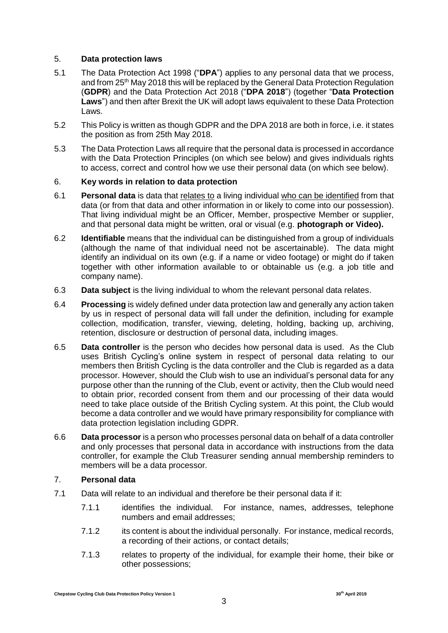#### 5. **Data protection laws**

- 5.1 The Data Protection Act 1998 ("**DPA**") applies to any personal data that we process, and from 25th May 2018 this will be replaced by the General Data Protection Regulation (**GDPR**) and the Data Protection Act 2018 ("**DPA 2018**") (together "**Data Protection Laws**") and then after Brexit the UK will adopt laws equivalent to these Data Protection Laws.
- 5.2 This Policy is written as though GDPR and the DPA 2018 are both in force, i.e. it states the position as from 25th May 2018.
- 5.3 The Data Protection Laws all require that the personal data is processed in accordance with the Data Protection Principles (on which see below) and gives individuals rights to access, correct and control how we use their personal data (on which see below).

#### 6. **Key words in relation to data protection**

- 6.1 **Personal data** is data that relates to a living individual who can be identified from that data (or from that data and other information in or likely to come into our possession). That living individual might be an Officer, Member, prospective Member or supplier, and that personal data might be written, oral or visual (e.g. **photograph or Video).**
- 6.2 **Identifiable** means that the individual can be distinguished from a group of individuals (although the name of that individual need not be ascertainable). The data might identify an individual on its own (e.g. if a name or video footage) or might do if taken together with other information available to or obtainable us (e.g. a job title and company name).
- 6.3 **Data subject** is the living individual to whom the relevant personal data relates.
- 6.4 **Processing** is widely defined under data protection law and generally any action taken by us in respect of personal data will fall under the definition, including for example collection, modification, transfer, viewing, deleting, holding, backing up, archiving, retention, disclosure or destruction of personal data, including images.
- 6.5 **Data controller** is the person who decides how personal data is used. As the Club uses British Cycling's online system in respect of personal data relating to our members then British Cycling is the data controller and the Club is regarded as a data processor. However, should the Club wish to use an individual's personal data for any purpose other than the running of the Club, event or activity, then the Club would need to obtain prior, recorded consent from them and our processing of their data would need to take place outside of the British Cycling system. At this point, the Club would become a data controller and we would have primary responsibility for compliance with data protection legislation including GDPR.
- 6.6 **Data processor** is a person who processes personal data on behalf of a data controller and only processes that personal data in accordance with instructions from the data controller, for example the Club Treasurer sending annual membership reminders to members will be a data processor.

### 7. **Personal data**

- 7.1 Data will relate to an individual and therefore be their personal data if it:
	- 7.1.1 identifies the individual. For instance, names, addresses, telephone numbers and email addresses;
	- 7.1.2 its content is about the individual personally. For instance, medical records, a recording of their actions, or contact details;
	- 7.1.3 relates to property of the individual, for example their home, their bike or other possessions;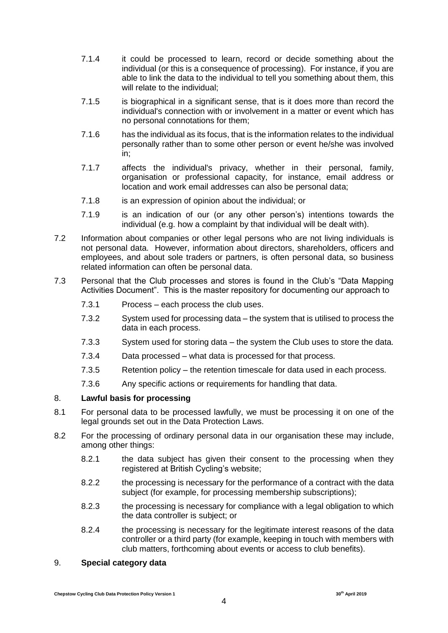- 7.1.4 it could be processed to learn, record or decide something about the individual (or this is a consequence of processing). For instance, if you are able to link the data to the individual to tell you something about them, this will relate to the individual:
- 7.1.5 is biographical in a significant sense, that is it does more than record the individual's connection with or involvement in a matter or event which has no personal connotations for them;
- 7.1.6 has the individual as its focus, that is the information relates to the individual personally rather than to some other person or event he/she was involved in;
- 7.1.7 affects the individual's privacy, whether in their personal, family, organisation or professional capacity, for instance, email address or location and work email addresses can also be personal data;
- 7.1.8 is an expression of opinion about the individual; or
- 7.1.9 is an indication of our (or any other person's) intentions towards the individual (e.g. how a complaint by that individual will be dealt with).
- 7.2 Information about companies or other legal persons who are not living individuals is not personal data. However, information about directors, shareholders, officers and employees, and about sole traders or partners, is often personal data, so business related information can often be personal data.
- 7.3 Personal that the Club processes and stores is found in the Club's "Data Mapping Activities Document". This is the master repository for documenting our approach to
	- 7.3.1 Process each process the club uses.
	- 7.3.2 System used for processing data the system that is utilised to process the data in each process.
	- 7.3.3 System used for storing data the system the Club uses to store the data.
	- 7.3.4 Data processed what data is processed for that process.
	- 7.3.5 Retention policy the retention timescale for data used in each process.
	- 7.3.6 Any specific actions or requirements for handling that data.

#### 8. **Lawful basis for processing**

- 8.1 For personal data to be processed lawfully, we must be processing it on one of the legal grounds set out in the Data Protection Laws.
- 8.2 For the processing of ordinary personal data in our organisation these may include, among other things:
	- 8.2.1 the data subject has given their consent to the processing when they registered at British Cycling's website;
	- 8.2.2 the processing is necessary for the performance of a contract with the data subject (for example, for processing membership subscriptions);
	- 8.2.3 the processing is necessary for compliance with a legal obligation to which the data controller is subject; or
	- 8.2.4 the processing is necessary for the legitimate interest reasons of the data controller or a third party (for example, keeping in touch with members with club matters, forthcoming about events or access to club benefits).

### 9. **Special category data**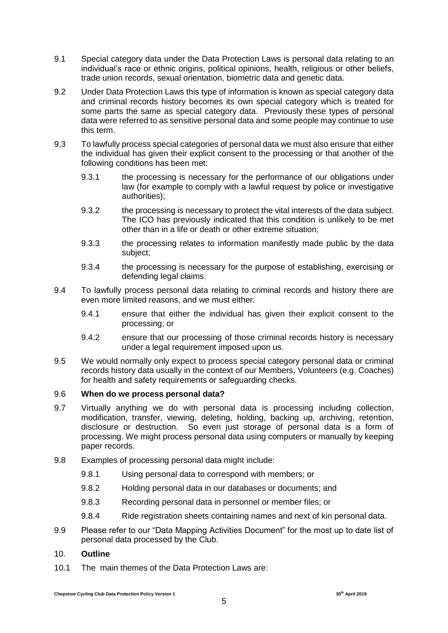- 9.1 Special category data under the Data Protection Laws is personal data relating to an individual's race or ethnic origins, political opinions, health, religious or other beliefs, trade union records, sexual orientation, biometric data and genetic data.
- 9.2 Under Data Protection Laws this type of information is known as special category data and criminal records history becomes its own special category which is treated for some parts the same as special category data. Previously these types of personal data were referred to as sensitive personal data and some people may continue to use this term.
- 9.3 To lawfully process special categories of personal data we must also ensure that either the individual has given their explicit consent to the processing or that another of the following conditions has been met:
	- 9.3.1 the processing is necessary for the performance of our obligations under law (for example to comply with a lawful request by police or investigative authorities);
	- 9.3.2 the processing is necessary to protect the vital interests of the data subject. The ICO has previously indicated that this condition is unlikely to be met other than in a life or death or other extreme situation;
	- 9.3.3 the processing relates to information manifestly made public by the data subject;
	- 9.3.4 the processing is necessary for the purpose of establishing, exercising or defending legal claims.
- 9.4 To lawfully process personal data relating to criminal records and history there are even more limited reasons, and we must either:
	- 9.4.1 ensure that either the individual has given their explicit consent to the processing; or
	- 9.4.2 ensure that our processing of those criminal records history is necessary under a legal requirement imposed upon us.
- 9.5 We would normally only expect to process special category personal data or criminal records history data usually in the context of our Members, Volunteers (e.g. Coaches) for health and safety requirements or safeguarding checks.

### 9.6 **When do we process personal data?**

- 9.7 Virtually anything we do with personal data is processing including collection, modification, transfer, viewing, deleting, holding, backing up, archiving, retention, disclosure or destruction. So even just storage of personal data is a form of processing. We might process personal data using computers or manually by keeping paper records.
- 9.8 Examples of processing personal data might include:
	- 9.8.1 Using personal data to correspond with members; or
	- 9.8.2 Holding personal data in our databases or documents; and
	- 9.8.3 Recording personal data in personnel or member files; or
	- 9.8.4 Ride registration sheets containing names and next of kin personal data.
- 9.9 Please refer to our "Data Mapping Activities Document" for the most up to date list of personal data processed by the Club.

### 10. **Outline**

10.1 The main themes of the Data Protection Laws are: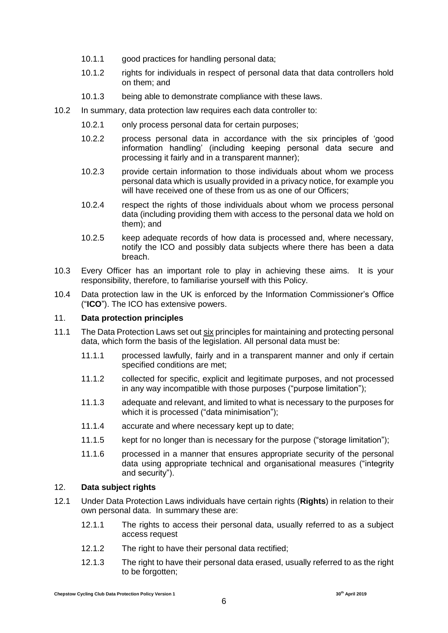- 10.1.1 good practices for handling personal data;
- 10.1.2 rights for individuals in respect of personal data that data controllers hold on them; and
- 10.1.3 being able to demonstrate compliance with these laws.
- 10.2 In summary, data protection law requires each data controller to:
	- 10.2.1 only process personal data for certain purposes;
	- 10.2.2 process personal data in accordance with the six principles of 'good information handling' (including keeping personal data secure and processing it fairly and in a transparent manner);
	- 10.2.3 provide certain information to those individuals about whom we process personal data which is usually provided in a privacy notice, for example you will have received one of these from us as one of our Officers;
	- 10.2.4 respect the rights of those individuals about whom we process personal data (including providing them with access to the personal data we hold on them); and
	- 10.2.5 keep adequate records of how data is processed and, where necessary, notify the ICO and possibly data subjects where there has been a data breach.
- 10.3 Every Officer has an important role to play in achieving these aims. It is your responsibility, therefore, to familiarise yourself with this Policy.
- 10.4 Data protection law in the UK is enforced by the Information Commissioner's Office ("**ICO**"). The ICO has extensive powers.

### 11. **Data protection principles**

- 11.1 The Data Protection Laws set out six principles for maintaining and protecting personal data, which form the basis of the legislation. All personal data must be:
	- 11.1.1 processed lawfully, fairly and in a transparent manner and only if certain specified conditions are met;
	- 11.1.2 collected for specific, explicit and legitimate purposes, and not processed in any way incompatible with those purposes ("purpose limitation");
	- 11.1.3 adequate and relevant, and limited to what is necessary to the purposes for which it is processed ("data minimisation");
	- 11.1.4 accurate and where necessary kept up to date;
	- 11.1.5 kept for no longer than is necessary for the purpose ("storage limitation");
	- 11.1.6 processed in a manner that ensures appropriate security of the personal data using appropriate technical and organisational measures ("integrity and security").

#### 12. **Data subject rights**

- 12.1 Under Data Protection Laws individuals have certain rights (**Rights**) in relation to their own personal data. In summary these are:
	- 12.1.1 The rights to access their personal data, usually referred to as a subject access request
	- 12.1.2 The right to have their personal data rectified;
	- 12.1.3 The right to have their personal data erased, usually referred to as the right to be forgotten;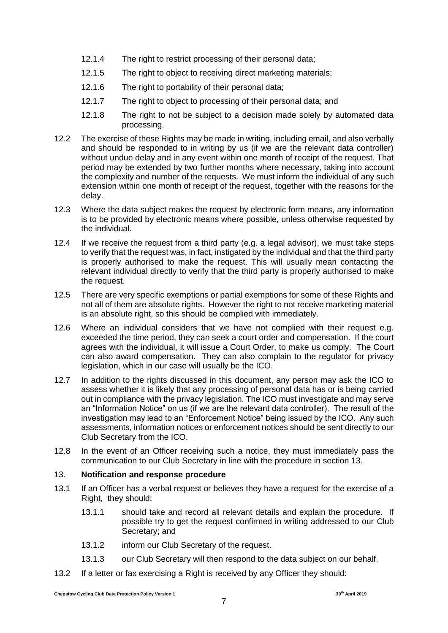- 12.1.4 The right to restrict processing of their personal data;
- 12.1.5 The right to object to receiving direct marketing materials;
- 12.1.6 The right to portability of their personal data;
- 12.1.7 The right to object to processing of their personal data; and
- 12.1.8 The right to not be subject to a decision made solely by automated data processing.
- 12.2 The exercise of these Rights may be made in writing, including email, and also verbally and should be responded to in writing by us (if we are the relevant data controller) without undue delay and in any event within one month of receipt of the request. That period may be extended by two further months where necessary, taking into account the complexity and number of the requests. We must inform the individual of any such extension within one month of receipt of the request, together with the reasons for the delay.
- 12.3 Where the data subject makes the request by electronic form means, any information is to be provided by electronic means where possible, unless otherwise requested by the individual.
- 12.4 If we receive the request from a third party (e.g. a legal advisor), we must take steps to verify that the request was, in fact, instigated by the individual and that the third party is properly authorised to make the request. This will usually mean contacting the relevant individual directly to verify that the third party is properly authorised to make the request.
- 12.5 There are very specific exemptions or partial exemptions for some of these Rights and not all of them are absolute rights. However the right to not receive marketing material is an absolute right, so this should be complied with immediately.
- 12.6 Where an individual considers that we have not complied with their request e.g. exceeded the time period, they can seek a court order and compensation. If the court agrees with the individual, it will issue a Court Order, to make us comply. The Court can also award compensation. They can also complain to the regulator for privacy legislation, which in our case will usually be the ICO.
- 12.7 In addition to the rights discussed in this document, any person may ask the ICO to assess whether it is likely that any processing of personal data has or is being carried out in compliance with the privacy legislation. The ICO must investigate and may serve an "Information Notice" on us (if we are the relevant data controller). The result of the investigation may lead to an "Enforcement Notice" being issued by the ICO. Any such assessments, information notices or enforcement notices should be sent directly to our Club Secretary from the ICO.
- 12.8 In the event of an Officer receiving such a notice, they must immediately pass the communication to our Club Secretary in line with the procedure in section 13.

### 13. **Notification and response procedure**

- 13.1 If an Officer has a verbal request or believes they have a request for the exercise of a Right, they should:
	- 13.1.1 should take and record all relevant details and explain the procedure. If possible try to get the request confirmed in writing addressed to our Club Secretary; and
	- 13.1.2 inform our Club Secretary of the request.
	- 13.1.3 our Club Secretary will then respond to the data subject on our behalf.
- 13.2 If a letter or fax exercising a Right is received by any Officer they should: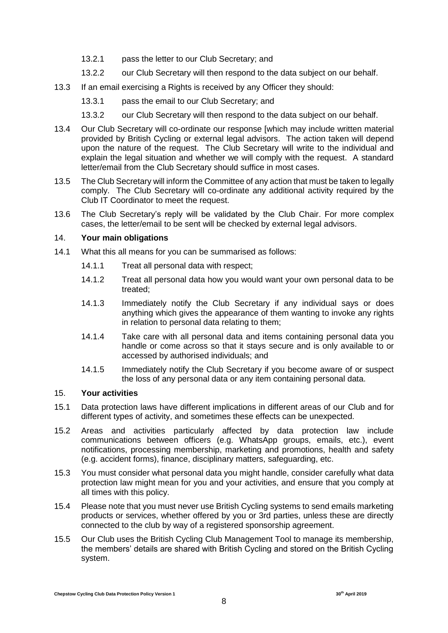- 13.2.1 pass the letter to our Club Secretary; and
- 13.2.2 our Club Secretary will then respond to the data subject on our behalf.
- 13.3 If an email exercising a Rights is received by any Officer they should:
	- 13.3.1 pass the email to our Club Secretary; and
	- 13.3.2 our Club Secretary will then respond to the data subject on our behalf.
- 13.4 Our Club Secretary will co-ordinate our response [which may include written material provided by British Cycling or external legal advisors. The action taken will depend upon the nature of the request. The Club Secretary will write to the individual and explain the legal situation and whether we will comply with the request. A standard letter/email from the Club Secretary should suffice in most cases.
- 13.5 The Club Secretary will inform the Committee of any action that must be taken to legally comply. The Club Secretary will co-ordinate any additional activity required by the Club IT Coordinator to meet the request.
- 13.6 The Club Secretary's reply will be validated by the Club Chair. For more complex cases, the letter/email to be sent will be checked by external legal advisors.

### <span id="page-7-0"></span>14. **Your main obligations**

- 14.1 What this all means for you can be summarised as follows:
	- 14.1.1 Treat all personal data with respect;
	- 14.1.2 Treat all personal data how you would want your own personal data to be treated;
	- 14.1.3 Immediately notify the Club Secretary if any individual says or does anything which gives the appearance of them wanting to invoke any rights in relation to personal data relating to them;
	- 14.1.4 Take care with all personal data and items containing personal data you handle or come across so that it stays secure and is only available to or accessed by authorised individuals; and
	- 14.1.5 Immediately notify the Club Secretary if you become aware of or suspect the loss of any personal data or any item containing personal data.

### <span id="page-7-1"></span>15. **Your activities**

- 15.1 Data protection laws have different implications in different areas of our Club and for different types of activity, and sometimes these effects can be unexpected.
- 15.2 Areas and activities particularly affected by data protection law include communications between officers (e.g. WhatsApp groups, emails, etc.), event notifications, processing membership, marketing and promotions, health and safety (e.g. accident forms), finance, disciplinary matters, safeguarding, etc.
- 15.3 You must consider what personal data you might handle, consider carefully what data protection law might mean for you and your activities, and ensure that you comply at all times with this policy.
- 15.4 Please note that you must never use British Cycling systems to send emails marketing products or services, whether offered by you or 3rd parties, unless these are directly connected to the club by way of a registered sponsorship agreement.
- 15.5 Our Club uses the British Cycling Club Management Tool to manage its membership, the members' details are shared with British Cycling and stored on the British Cycling system.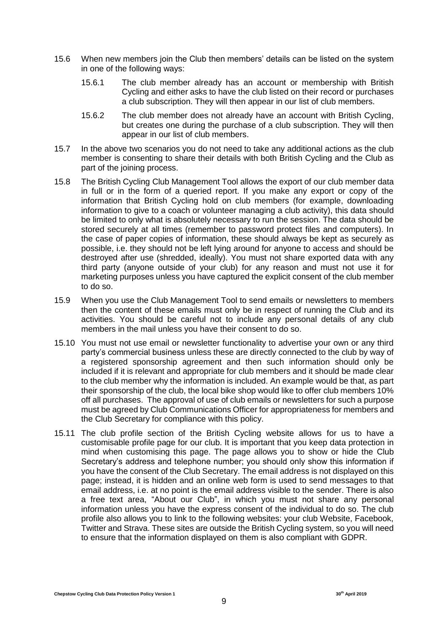- 15.6 When new members join the Club then members' details can be listed on the system in one of the following ways:
	- 15.6.1 The club member already has an account or membership with British Cycling and either asks to have the club listed on their record or purchases a club subscription. They will then appear in our list of club members.
	- 15.6.2 The club member does not already have an account with British Cycling, but creates one during the purchase of a club subscription. They will then appear in our list of club members.
- 15.7 In the above two scenarios you do not need to take any additional actions as the club member is consenting to share their details with both British Cycling and the Club as part of the joining process.
- 15.8 The British Cycling Club Management Tool allows the export of our club member data in full or in the form of a queried report. If you make any export or copy of the information that British Cycling hold on club members (for example, downloading information to give to a coach or volunteer managing a club activity), this data should be limited to only what is absolutely necessary to run the session. The data should be stored securely at all times (remember to password protect files and computers). In the case of paper copies of information, these should always be kept as securely as possible, i.e. they should not be left lying around for anyone to access and should be destroyed after use (shredded, ideally). You must not share exported data with any third party (anyone outside of your club) for any reason and must not use it for marketing purposes unless you have captured the explicit consent of the club member to do so.
- 15.9 When you use the Club Management Tool to send emails or newsletters to members then the content of these emails must only be in respect of running the Club and its activities. You should be careful not to include any personal details of any club members in the mail unless you have their consent to do so.
- 15.10 You must not use email or newsletter functionality to advertise your own or any third party's commercial business unless these are directly connected to the club by way of a registered sponsorship agreement and then such information should only be included if it is relevant and appropriate for club members and it should be made clear to the club member why the information is included. An example would be that, as part their sponsorship of the club, the local bike shop would like to offer club members 10% off all purchases. The approval of use of club emails or newsletters for such a purpose must be agreed by Club Communications Officer for appropriateness for members and the Club Secretary for compliance with this policy.
- 15.11 The club profile section of the British Cycling website allows for us to have a customisable profile page for our club. It is important that you keep data protection in mind when customising this page. The page allows you to show or hide the Club Secretary's address and telephone number; you should only show this information if you have the consent of the Club Secretary. The email address is not displayed on this page; instead, it is hidden and an online web form is used to send messages to that email address, i.e. at no point is the email address visible to the sender. There is also a free text area, "About our Club", in which you must not share any personal information unless you have the express consent of the individual to do so. The club profile also allows you to link to the following websites: your club Website, Facebook, Twitter and Strava. These sites are outside the British Cycling system, so you will need to ensure that the information displayed on them is also compliant with GDPR.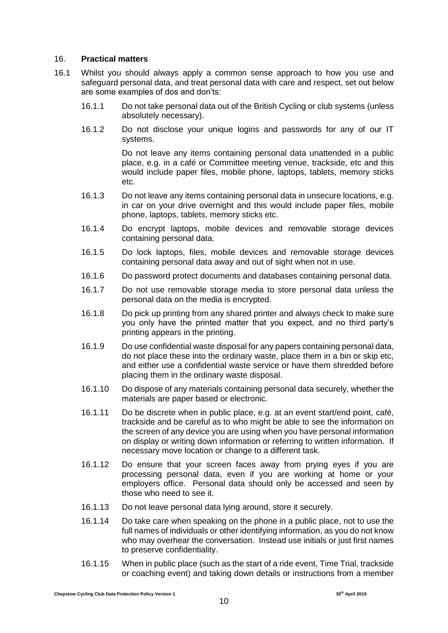#### <span id="page-9-0"></span>16. **Practical matters**

- 16.1 Whilst you should always apply a common sense approach to how you use and safeguard personal data, and treat personal data with care and respect, set out below are some examples of dos and don'ts:
	- 16.1.1 Do not take personal data out of the British Cycling or club systems (unless absolutely necessary).
	- 16.1.2 Do not disclose your unique logins and passwords for any of our IT systems.

Do not leave any items containing personal data unattended in a public place, e.g. in a café or Committee meeting venue, trackside, etc and this would include paper files, mobile phone, laptops, tablets, memory sticks etc.

- 16.1.3 Do not leave any items containing personal data in unsecure locations, e.g. in car on your drive overnight and this would include paper files, mobile phone, laptops, tablets, memory sticks etc.
- 16.1.4 Do encrypt laptops, mobile devices and removable storage devices containing personal data.
- 16.1.5 Do lock laptops, files, mobile devices and removable storage devices containing personal data away and out of sight when not in use.
- 16.1.6 Do password protect documents and databases containing personal data.
- 16.1.7 Do not use removable storage media to store personal data unless the personal data on the media is encrypted.
- 16.1.8 Do pick up printing from any shared printer and always check to make sure you only have the printed matter that you expect, and no third party's printing appears in the printing.
- 16.1.9 Do use confidential waste disposal for any papers containing personal data, do not place these into the ordinary waste, place them in a bin or skip etc, and either use a confidential waste service or have them shredded before placing them in the ordinary waste disposal.
- 16.1.10 Do dispose of any materials containing personal data securely, whether the materials are paper based or electronic.
- 16.1.11 Do be discrete when in public place, e.g. at an event start/end point, café, trackside and be careful as to who might be able to see the information on the screen of any device you are using when you have personal information on display or writing down information or referring to written information. If necessary move location or change to a different task.
- 16.1.12 Do ensure that your screen faces away from prying eyes if you are processing personal data, even if you are working at home or your employers office. Personal data should only be accessed and seen by those who need to see it.
- 16.1.13 Do not leave personal data lying around, store it securely.
- 16.1.14 Do take care when speaking on the phone in a public place, not to use the full names of individuals or other identifying information, as you do not know who may overhear the conversation. Instead use initials or just first names to preserve confidentiality.
- 16.1.15 When in public place (such as the start of a ride event, Time Trial, trackside or coaching event) and taking down details or instructions from a member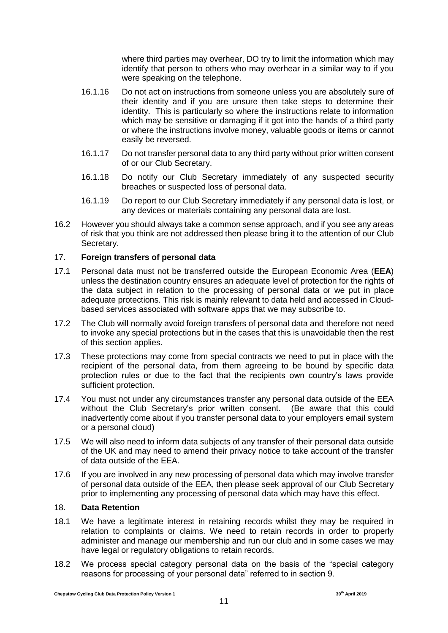where third parties may overhear, DO try to limit the information which may identify that person to others who may overhear in a similar way to if you were speaking on the telephone.

- 16.1.16 Do not act on instructions from someone unless you are absolutely sure of their identity and if you are unsure then take steps to determine their identity. This is particularly so where the instructions relate to information which may be sensitive or damaging if it got into the hands of a third party or where the instructions involve money, valuable goods or items or cannot easily be reversed.
- 16.1.17 Do not transfer personal data to any third party without prior written consent of or our Club Secretary.
- 16.1.18 Do notify our Club Secretary immediately of any suspected security breaches or suspected loss of personal data.
- 16.1.19 Do report to our Club Secretary immediately if any personal data is lost, or any devices or materials containing any personal data are lost.
- 16.2 However you should always take a common sense approach, and if you see any areas of risk that you think are not addressed then please bring it to the attention of our Club Secretary.

### 17. **Foreign transfers of personal data**

- 17.1 Personal data must not be transferred outside the European Economic Area (**EEA**) unless the destination country ensures an adequate level of protection for the rights of the data subject in relation to the processing of personal data or we put in place adequate protections. This risk is mainly relevant to data held and accessed in Cloudbased services associated with software apps that we may subscribe to.
- 17.2 The Club will normally avoid foreign transfers of personal data and therefore not need to invoke any special protections but in the cases that this is unavoidable then the rest of this section applies.
- 17.3 These protections may come from special contracts we need to put in place with the recipient of the personal data, from them agreeing to be bound by specific data protection rules or due to the fact that the recipients own country's laws provide sufficient protection.
- 17.4 You must not under any circumstances transfer any personal data outside of the EEA without the Club Secretary's prior written consent. (Be aware that this could inadvertently come about if you transfer personal data to your employers email system or a personal cloud)
- 17.5 We will also need to inform data subjects of any transfer of their personal data outside of the UK and may need to amend their privacy notice to take account of the transfer of data outside of the EEA.
- 17.6 If you are involved in any new processing of personal data which may involve transfer of personal data outside of the EEA, then please seek approval of our Club Secretary prior to implementing any processing of personal data which may have this effect.

#### 18. **Data Retention**

- 18.1 We have a legitimate interest in retaining records whilst they may be required in relation to complaints or claims. We need to retain records in order to properly administer and manage our membership and run our club and in some cases we may have legal or regulatory obligations to retain records.
- 18.2 We process special category personal data on the basis of the "special category reasons for processing of your personal data" referred to in section 9.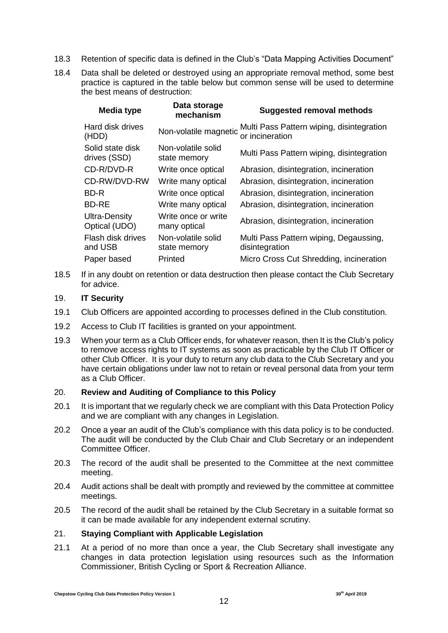- 18.3 Retention of specific data is defined in the Club's "Data Mapping Activities Document"
- 18.4 Data shall be deleted or destroyed using an appropriate removal method, some best practice is captured in the table below but common sense will be used to determine the best means of destruction:

| <b>Media type</b>                | Data storage<br>mechanism           | <b>Suggested removal methods</b>                             |
|----------------------------------|-------------------------------------|--------------------------------------------------------------|
| Hard disk drives<br>(HDD)        | Non-volatile magnetic               | Multi Pass Pattern wiping, disintegration<br>or incineration |
| Solid state disk<br>drives (SSD) | Non-volatile solid<br>state memory  | Multi Pass Pattern wiping, disintegration                    |
| CD-R/DVD-R                       | Write once optical                  | Abrasion, disintegration, incineration                       |
| CD-RW/DVD-RW                     | Write many optical                  | Abrasion, disintegration, incineration                       |
| BD-R                             | Write once optical                  | Abrasion, disintegration, incineration                       |
| <b>BD-RE</b>                     | Write many optical                  | Abrasion, disintegration, incineration                       |
| Ultra-Density<br>Optical (UDO)   | Write once or write<br>many optical | Abrasion, disintegration, incineration                       |
| Flash disk drives<br>and USB     | Non-volatile solid<br>state memory  | Multi Pass Pattern wiping, Degaussing,<br>disintegration     |
| Paper based                      | Printed                             | Micro Cross Cut Shredding, incineration                      |
|                                  |                                     |                                                              |

18.5 If in any doubt on retention or data destruction then please contact the Club Secretary for advice.

#### 19. **IT Security**

- 19.1 Club Officers are appointed according to processes defined in the Club constitution.
- 19.2 Access to Club IT facilities is granted on your appointment.
- 19.3 When your term as a Club Officer ends, for whatever reason, then It is the Club's policy to remove access rights to IT systems as soon as practicable by the Club IT Officer or other Club Officer. It is your duty to return any club data to the Club Secretary and you have certain obligations under law not to retain or reveal personal data from your term as a Club Officer.

## 20. **Review and Auditing of Compliance to this Policy**

- 20.1 It is important that we regularly check we are compliant with this Data Protection Policy and we are compliant with any changes in Legislation.
- 20.2 Once a year an audit of the Club's compliance with this data policy is to be conducted. The audit will be conducted by the Club Chair and Club Secretary or an independent Committee Officer.
- 20.3 The record of the audit shall be presented to the Committee at the next committee meeting.
- 20.4 Audit actions shall be dealt with promptly and reviewed by the committee at committee meetings.
- 20.5 The record of the audit shall be retained by the Club Secretary in a suitable format so it can be made available for any independent external scrutiny.

#### 21. **Staying Compliant with Applicable Legislation**

21.1 At a period of no more than once a year, the Club Secretary shall investigate any changes in data protection legislation using resources such as the Information Commissioner, British Cycling or Sport & Recreation Alliance.